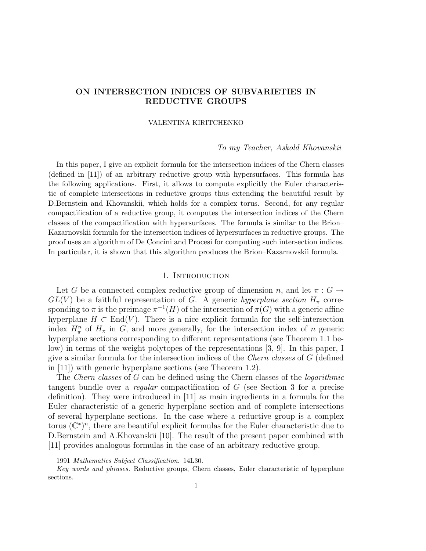# ON INTERSECTION INDICES OF SUBVARIETIES IN REDUCTIVE GROUPS

#### VALENTINA KIRITCHENKO

### To my Teacher, Askold Khovanskii

In this paper, I give an explicit formula for the intersection indices of the Chern classes (defined in [11]) of an arbitrary reductive group with hypersurfaces. This formula has the following applications. First, it allows to compute explicitly the Euler characteristic of complete intersections in reductive groups thus extending the beautiful result by D.Bernstein and Khovanskii, which holds for a complex torus. Second, for any regular compactification of a reductive group, it computes the intersection indices of the Chern classes of the compactification with hypersurfaces. The formula is similar to the Brion– Kazarnovskii formula for the intersection indices of hypersurfaces in reductive groups. The proof uses an algorithm of De Concini and Procesi for computing such intersection indices. In particular, it is shown that this algorithm produces the Brion–Kazarnovskii formula.

### 1. INTRODUCTION

Let G be a connected complex reductive group of dimension n, and let  $\pi: G \to$  $GL(V)$  be a faithful representation of G. A generic hyperplane section  $H_{\pi}$  corresponding to  $\pi$  is the preimage  $\pi^{-1}(H)$  of the intersection of  $\pi(G)$  with a generic affine hyperplane  $H \subset End(V)$ . There is a nice explicit formula for the self-intersection index  $H_{\pi}^{n}$  of  $H_{\pi}$  in G, and more generally, for the intersection index of n generic hyperplane sections corresponding to different representations (see Theorem 1.1 below) in terms of the weight polytopes of the representations [3, 9]. In this paper, I give a similar formula for the intersection indices of the Chern classes of G (defined in [11]) with generic hyperplane sections (see Theorem 1.2).

The *Chern classes* of G can be defined using the Chern classes of the *logarithmic* tangent bundle over a regular compactification of G (see Section 3 for a precise definition). They were introduced in [11] as main ingredients in a formula for the Euler characteristic of a generic hyperplane section and of complete intersections of several hyperplane sections. In the case where a reductive group is a complex torus  $(\mathbb{C}^*)^n$ , there are beautiful explicit formulas for the Euler characteristic due to D.Bernstein and A.Khovanskii [10]. The result of the present paper combined with [11] provides analogous formulas in the case of an arbitrary reductive group.

<sup>1991</sup> Mathematics Subject Classification. 14L30.

Key words and phrases. Reductive groups, Chern classes, Euler characteristic of hyperplane sections.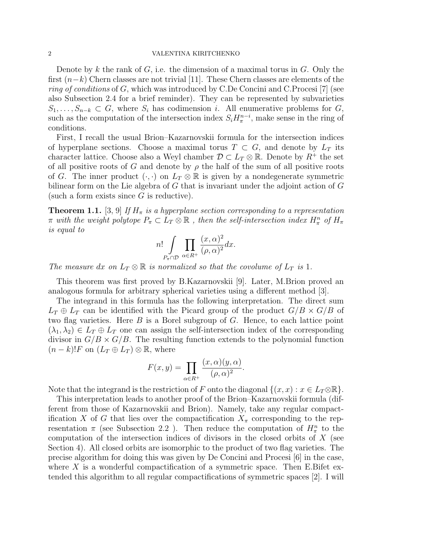#### 2 VALENTINA KIRITCHENKO

Denote by k the rank of  $G$ , i.e. the dimension of a maximal torus in  $G$ . Only the first  $(n-k)$  Chern classes are not trivial [11]. These Chern classes are elements of the ring of conditions of G, which was introduced by C.De Concini and C.Procesi [7] (see also Subsection 2.4 for a brief reminder). They can be represented by subvarieties  $S_1, \ldots, S_{n-k} \subset G$ , where  $S_i$  has codimension i. All enumerative problems for G, such as the computation of the intersection index  $S_i H_{\pi}^{n-i}$ , make sense in the ring of conditions.

First, I recall the usual Brion–Kazarnovskii formula for the intersection indices of hyperplane sections. Choose a maximal torus  $T \subset G$ , and denote by  $L_T$  its character lattice. Choose also a Weyl chamber  $\mathcal{D} \subset L_T \otimes \mathbb{R}$ . Denote by  $R^+$  the set of all positive roots of G and denote by  $\rho$  the half of the sum of all positive roots of G. The inner product  $(\cdot, \cdot)$  on  $L_T \otimes \mathbb{R}$  is given by a nondegenerate symmetric bilinear form on the Lie algebra of G that is invariant under the adjoint action of G (such a form exists since  $G$  is reductive).

**Theorem 1.1.** [3, 9] If  $H_{\pi}$  is a hyperplane section corresponding to a representation  $\pi$  with the weight polytope  $P_{\pi} \subset L_T \otimes \mathbb{R}$  , then the self-intersection index  $H^n_{\pi}$  of  $H_{\pi}$ is equal to

$$
n! \int\limits_{P_{\pi} \cap \mathcal{D}} \prod_{\alpha \in R^+} \frac{(x, \alpha)^2}{(\rho, \alpha)^2} dx.
$$

The measure dx on  $L_T \otimes \mathbb{R}$  is normalized so that the covolume of  $L_T$  is 1.

This theorem was first proved by B.Kazarnovskii [9]. Later, M.Brion proved an analogous formula for arbitrary spherical varieties using a different method [3].

The integrand in this formula has the following interpretation. The direct sum  $L_T \oplus L_T$  can be identified with the Picard group of the product  $G/B \times G/B$  of two flag varieties. Here  $B$  is a Borel subgroup of  $G$ . Hence, to each lattice point  $(\lambda_1, \lambda_2) \in L_T \oplus L_T$  one can assign the self-intersection index of the corresponding divisor in  $G/B \times G/B$ . The resulting function extends to the polynomial function  $(n-k)!F$  on  $(L_T \oplus L_T) \otimes \mathbb{R}$ , where

$$
F(x,y) = \prod_{\alpha \in R^{+}} \frac{(x,\alpha)(y,\alpha)}{(\rho,\alpha)^{2}}.
$$

Note that the integrand is the restriction of F onto the diagonal  $\{(x, x) : x \in L_T \otimes \mathbb{R}\}.$ 

This interpretation leads to another proof of the Brion–Kazarnovskii formula (different from those of Kazarnovskii and Brion). Namely, take any regular compactification X of G that lies over the compactification  $X_\pi$  corresponding to the representation  $\pi$  (see Subsection 2.2). Then reduce the computation of  $H_{\pi}^{n}$  to the computation of the intersection indices of divisors in the closed orbits of X (see Section 4). All closed orbits are isomorphic to the product of two flag varieties. The precise algorithm for doing this was given by De Concini and Procesi [6] in the case, where  $X$  is a wonderful compactification of a symmetric space. Then E. Bifet extended this algorithm to all regular compactifications of symmetric spaces [2]. I will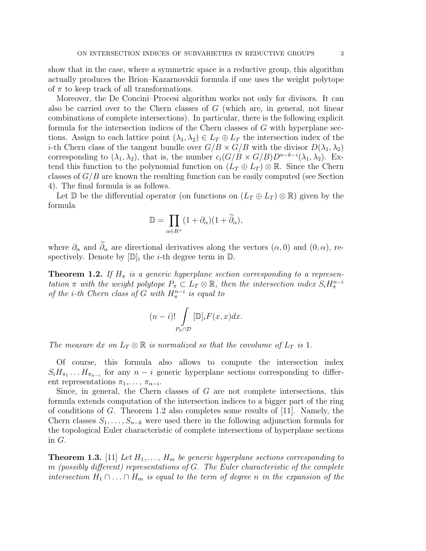show that in the case, where a symmetric space is a reductive group, this algorithm actually produces the Brion–Kazarnovskii formula if one uses the weight polytope of  $\pi$  to keep track of all transformations.

Moreover, the De Concini–Procesi algorithm works not only for divisors. It can also be carried over to the Chern classes of  $G$  (which are, in general, not linear combinations of complete intersections). In particular, there is the following explicit formula for the intersection indices of the Chern classes of G with hyperplane sections. Assign to each lattice point  $(\lambda_1, \lambda_2) \in L_T \oplus L_T$  the intersection index of the *i*-th Chern class of the tangent bundle over  $G/B \times G/B$  with the divisor  $D(\lambda_1, \lambda_2)$ corresponding to  $(\lambda_1, \lambda_2)$ , that is, the number  $c_i(G/B \times G/B)D^{n-k-i}(\lambda_1, \lambda_2)$ . Extend this function to the polynomial function on  $(L_T \oplus L_T) \otimes \mathbb{R}$ . Since the Chern classes of  $G/B$  are known the resulting function can be easily computed (see Section 4). The final formula is as follows.

Let D be the differential operator (on functions on  $(L_T \oplus L_T) \otimes \mathbb{R}$ ) given by the formula

$$
\mathbb{D} = \prod_{\alpha \in R^+} (1 + \partial_\alpha)(1 + \widetilde{\partial}_\alpha),
$$

where  $\partial_{\alpha}$  and  $\partial_{\alpha}$  are directional derivatives along the vectors  $(\alpha, 0)$  and  $(0, \alpha)$ , respectively. Denote by  $[\mathbb{D}]_i$  the *i*-th degree term in  $\mathbb{D}$ .

**Theorem 1.2.** If  $H_{\pi}$  is a generic hyperplane section corresponding to a representation  $\pi$  with the weight polytope  $P_{\pi} \subset L_T \otimes \mathbb{R}$ , then the intersection index  $S_i H_{\pi}^{n-i}$ of the i-th Chern class of G with  $H^{n-i}_{\pi}$  is equal to

$$
(n-i)! \int\limits_{P_{\pi} \cap \mathcal{D}} [\mathbb{D}]_i F(x, x) dx.
$$

The measure dx on  $L_T \otimes \mathbb{R}$  is normalized so that the covolume of  $L_T$  is 1.

Of course, this formula also allows to compute the intersection index  $S_i H_{\pi_1} \dots H_{\pi_{n-i}}$  for any  $n-i$  generic hyperplane sections corresponding to different representations  $\pi_1, \ldots, \pi_{n-i}$ .

Since, in general, the Chern classes of  $G$  are not complete intersections, this formula extends computation of the intersection indices to a bigger part of the ring of conditions of G. Theorem 1.2 also completes some results of  $[11]$ . Namely, the Chern classes  $S_1, \ldots, S_{n-k}$  were used there in the following adjunction formula for the topological Euler characteristic of complete intersections of hyperplane sections in G.

**Theorem 1.3.** [11] Let  $H_1, \ldots, H_m$  be generic hyperplane sections corresponding to m (possibly different) representations of  $G$ . The Euler characteristic of the complete intersection  $H_1 \cap \ldots \cap H_m$  is equal to the term of degree n in the expansion of the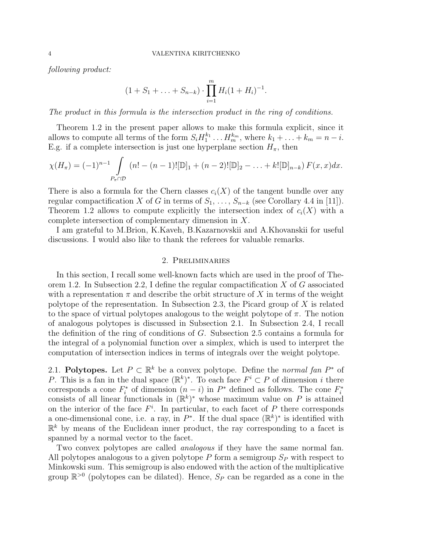following product:

$$
(1+S_1+\ldots+S_{n-k})\cdot \prod_{i=1}^m H_i(1+H_i)^{-1}.
$$

The product in this formula is the intersection product in the ring of conditions.

Theorem 1.2 in the present paper allows to make this formula explicit, since it allows to compute all terms of the form  $S_i H_1^{k_1} \dots H_m^{k_m}$ , where  $k_1 + \dots + k_m = n - i$ . E.g. if a complete intersection is just one hyperplane section  $H_{\pi}$ , then

$$
\chi(H_{\pi}) = (-1)^{n-1} \int_{P_{\pi} \cap \mathcal{D}} (n! - (n-1)! [\mathbb{D}]_1 + (n-2)! [\mathbb{D}]_2 - \ldots + k! [\mathbb{D}]_{n-k}) F(x, x) dx.
$$

There is also a formula for the Chern classes  $c_i(X)$  of the tangent bundle over any regular compactification X of G in terms of  $S_1, \ldots, S_{n-k}$  (see Corollary 4.4 in [11]). Theorem 1.2 allows to compute explicitly the intersection index of  $c_i(X)$  with a complete intersection of complementary dimension in X.

I am grateful to M.Brion, K.Kaveh, B.Kazarnovskii and A.Khovanskii for useful discussions. I would also like to thank the referees for valuable remarks.

## 2. Preliminaries

In this section, I recall some well-known facts which are used in the proof of Theorem 1.2. In Subsection 2.2, I define the regular compactification  $X$  of  $G$  associated with a representation  $\pi$  and describe the orbit structure of X in terms of the weight polytope of the representation. In Subsection 2.3, the Picard group of  $X$  is related to the space of virtual polytopes analogous to the weight polytope of  $\pi$ . The notion of analogous polytopes is discussed in Subsection 2.1. In Subsection 2.4, I recall the definition of the ring of conditions of G. Subsection 2.5 contains a formula for the integral of a polynomial function over a simplex, which is used to interpret the computation of intersection indices in terms of integrals over the weight polytope.

2.1. Polytopes. Let  $P \subset \mathbb{R}^k$  be a convex polytope. Define the normal fan  $P^*$  of P. This is a fan in the dual space  $(\mathbb{R}^k)^*$ . To each face  $F^i \subset P$  of dimension i there corresponds a cone  $F_i^*$  of dimension  $(n - i)$  in  $P^*$  defined as follows. The cone  $F_i^*$ consists of all linear functionals in  $(\mathbb{R}^k)^*$  whose maximum value on P is attained on the interior of the face  $F^i$ . In particular, to each facet of P there corresponds a one-dimensional cone, i.e. a ray, in  $P^*$ . If the dual space  $(\mathbb{R}^k)^*$  is identified with  $\mathbb{R}^k$  by means of the Euclidean inner product, the ray corresponding to a facet is spanned by a normal vector to the facet.

Two convex polytopes are called *analogous* if they have the same normal fan. All polytopes analogous to a given polytope  $P$  form a semigroup  $S_P$  with respect to Minkowski sum. This semigroup is also endowed with the action of the multiplicative group  $\mathbb{R}^{>0}$  (polytopes can be dilated). Hence,  $S_P$  can be regarded as a cone in the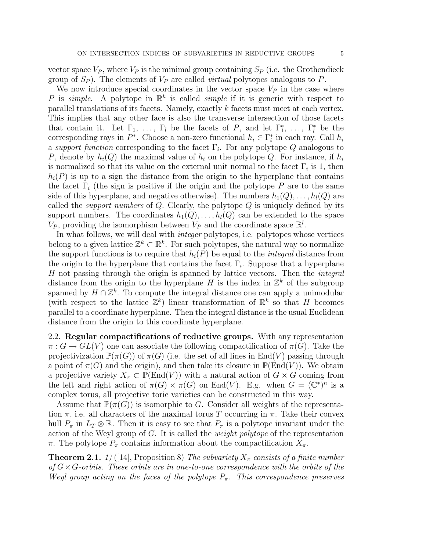vector space  $V_P$ , where  $V_P$  is the minimal group containing  $S_P$  (i.e. the Grothendieck group of  $S_P$ ). The elements of  $V_P$  are called *virtual* polytopes analogous to P.

We now introduce special coordinates in the vector space  $V_P$  in the case where P is simple. A polytope in  $\mathbb{R}^k$  is called simple if it is generic with respect to parallel translations of its facets. Namely, exactly k facets must meet at each vertex. This implies that any other face is also the transverse intersection of those facets that contain it. Let  $\Gamma_1, \ldots, \Gamma_l$  be the facets of P, and let  $\Gamma_1^*, \ldots, \Gamma_l^*$  be the corresponding rays in  $P^*$ . Choose a non-zero functional  $h_i \in \Gamma_i^*$  in each ray. Call  $h_i$ a support function corresponding to the facet  $\Gamma_i$ . For any polytope Q analogous to P, denote by  $h_i(Q)$  the maximal value of  $h_i$  on the polytope Q. For instance, if  $h_i$ is normalized so that its value on the external unit normal to the facet  $\Gamma_i$  is 1, then  $h_i(P)$  is up to a sign the distance from the origin to the hyperplane that contains the facet  $\Gamma_i$  (the sign is positive if the origin and the polytope P are to the same side of this hyperplane, and negative otherwise). The numbers  $h_1(Q), \ldots, h_l(Q)$  are called the *support numbers* of  $Q$ . Clearly, the polytope  $Q$  is uniquely defined by its support numbers. The coordinates  $h_1(Q), \ldots, h_l(Q)$  can be extended to the space  $V_P$ , providing the isomorphism between  $V_P$  and the coordinate space  $\mathbb{R}^l$ .

In what follows, we will deal with integer polytopes, i.e. polytopes whose vertices belong to a given lattice  $\mathbb{Z}^k \subset \mathbb{R}^k$ . For such polytopes, the natural way to normalize the support functions is to require that  $h_i(P)$  be equal to the *integral* distance from the origin to the hyperplane that contains the facet  $\Gamma_i$ . Suppose that a hyperplane H not passing through the origin is spanned by lattice vectors. Then the integral distance from the origin to the hyperplane H is the index in  $\mathbb{Z}^k$  of the subgroup spanned by  $H \cap \mathbb{Z}^k$ . To compute the integral distance one can apply a unimodular (with respect to the lattice  $\mathbb{Z}^k$ ) linear transformation of  $\mathbb{R}^k$  so that H becomes parallel to a coordinate hyperplane. Then the integral distance is the usual Euclidean distance from the origin to this coordinate hyperplane.

2.2. Regular compactifications of reductive groups. With any representation  $\pi: G \to GL(V)$  one can associate the following compactification of  $\pi(G)$ . Take the projectivization  $\mathbb{P}(\pi(G))$  of  $\pi(G)$  (i.e. the set of all lines in End(V) passing through a point of  $\pi(G)$  and the origin), and then take its closure in  $\mathbb{P}(\text{End}(V))$ . We obtain a projective variety  $X_\pi \subset \mathbb{P}(\text{End}(V))$  with a natural action of  $G \times G$  coming from the left and right action of  $\pi(G) \times \pi(G)$  on End(V). E.g. when  $G = (\mathbb{C}^*)^n$  is a complex torus, all projective toric varieties can be constructed in this way.

Assume that  $\mathbb{P}(\pi(G))$  is isomorphic to G. Consider all weights of the representation  $\pi$ , i.e. all characters of the maximal torus T occurring in  $\pi$ . Take their convex hull  $P_{\pi}$  in  $L_T \otimes \mathbb{R}$ . Then it is easy to see that  $P_{\pi}$  is a polytope invariant under the action of the Weyl group of  $G$ . It is called the *weight polytope* of the representation π. The polytope  $P_π$  contains information about the compactification  $X_π$ .

**Theorem 2.1.** 1) ([14], Proposition 8) The subvariety  $X_\pi$  consists of a finite number of  $G \times G$ -orbits. These orbits are in one-to-one correspondence with the orbits of the Weyl group acting on the faces of the polytope  $P_{\pi}$ . This correspondence preserves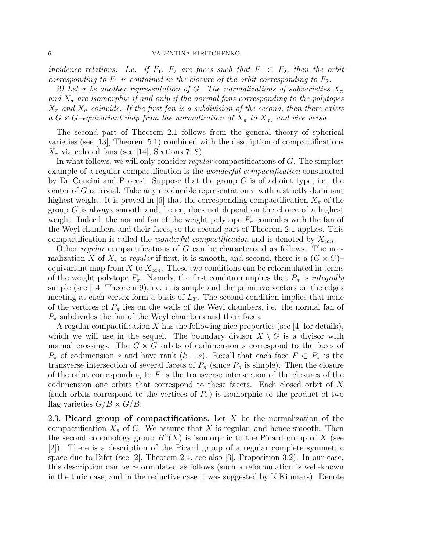incidence relations. I.e. if  $F_1$ ,  $F_2$  are faces such that  $F_1 \subset F_2$ , then the orbit corresponding to  $F_1$  is contained in the closure of the orbit corresponding to  $F_2$ .

2) Let  $\sigma$  be another representation of G. The normalizations of subvarieties  $X_{\pi}$ and  $X_{\sigma}$  are isomorphic if and only if the normal fans corresponding to the polytopes  $X_{\pi}$  and  $X_{\sigma}$  coincide. If the first fan is a subdivision of the second, then there exists a  $G \times G$ -equivariant map from the normalization of  $X_{\pi}$  to  $X_{\sigma}$ , and vice versa.

The second part of Theorem 2.1 follows from the general theory of spherical varieties (see [13], Theorem 5.1) combined with the description of compactifications  $X_{\pi}$  via colored fans (see [14], Sections 7, 8).

In what follows, we will only consider *regular* compactifications of G. The simplest example of a regular compactification is the wonderful compactification constructed by De Concini and Procesi. Suppose that the group  $G$  is of adjoint type, i.e. the center of G is trivial. Take any irreducible representation  $\pi$  with a strictly dominant highest weight. It is proved in [6] that the corresponding compactification  $X_\pi$  of the group  $G$  is always smooth and, hence, does not depend on the choice of a highest weight. Indeed, the normal fan of the weight polytope  $P_{\pi}$  coincides with the fan of the Weyl chambers and their faces, so the second part of Theorem 2.1 applies. This compactification is called the *wonderful compactification* and is denoted by  $X_{can}$ .

Other regular compactifications of G can be characterized as follows. The normalization X of  $X_{\pi}$  is regular if first, it is smooth, and second, there is a  $(G \times G)^{\perp}$ equivariant map from X to  $X_{can}$ . These two conditions can be reformulated in terms of the weight polytope  $P_{\pi}$ . Namely, the first condition implies that  $P_{\pi}$  is *integrally* simple (see [14] Theorem 9), i.e. it is simple and the primitive vectors on the edges meeting at each vertex form a basis of  $L<sub>T</sub>$ . The second condition implies that none of the vertices of  $P_{\pi}$  lies on the walls of the Weyl chambers, i.e. the normal fan of  $P_{\pi}$  subdivides the fan of the Weyl chambers and their faces.

A regular compactification X has the following nice properties (see  $[4]$  for details), which we will use in the sequel. The boundary divisor  $X \setminus G$  is a divisor with normal crossings. The  $G \times G$ -orbits of codimension s correspond to the faces of  $P_{\pi}$  of codimension s and have rank  $(k - s)$ . Recall that each face  $F \subset P_{\pi}$  is the transverse intersection of several facets of  $P_\pi$  (since  $P_\pi$  is simple). Then the closure of the orbit corresponding to  $F$  is the transverse intersection of the closures of the codimension one orbits that correspond to these facets. Each closed orbit of X (such orbits correspond to the vertices of  $P_{\pi}$ ) is isomorphic to the product of two flag varieties  $G/B \times G/B$ .

2.3. Picard group of compactifications. Let  $X$  be the normalization of the compactification  $X_\pi$  of G. We assume that X is regular, and hence smooth. Then the second cohomology group  $H^2(X)$  is isomorphic to the Picard group of X (see [2]). There is a description of the Picard group of a regular complete symmetric space due to Bifet (see [2], Theorem 2.4, see also [3], Proposition 3.2). In our case, this description can be reformulated as follows (such a reformulation is well-known in the toric case, and in the reductive case it was suggested by K.Kiumars). Denote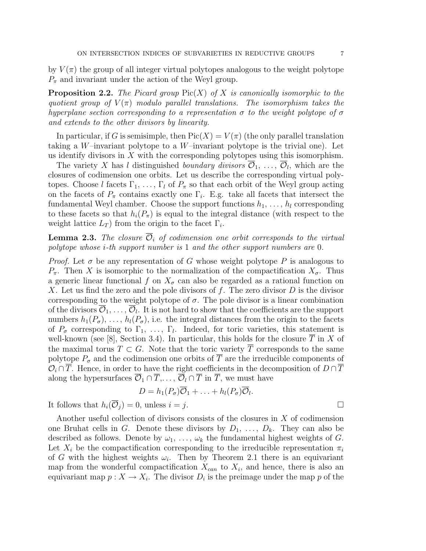by  $V(\pi)$  the group of all integer virtual polytopes analogous to the weight polytope  $P_{\pi}$  and invariant under the action of the Weyl group.

**Proposition 2.2.** The Picard group  $Pic(X)$  of X is canonically isomorphic to the quotient group of  $V(\pi)$  modulo parallel translations. The isomorphism takes the hyperplane section corresponding to a representation  $\sigma$  to the weight polytope of  $\sigma$ and extends to the other divisors by linearity.

In particular, if G is semisimple, then  $Pic(X) = V(\pi)$  (the only parallel translation taking a W-invariant polytope to a W-invariant polytope is the trivial one). Let us identify divisors in  $X$  with the corresponding polytopes using this isomorphism.

The variety X has l distinguished boundary divisors  $\overline{\mathcal{O}}_1, \ldots, \overline{\mathcal{O}}_l$ , which are the closures of codimension one orbits. Let us describe the corresponding virtual polytopes. Choose l facets  $\Gamma_1, \ldots, \Gamma_l$  of  $P_\pi$  so that each orbit of the Weyl group acting on the facets of  $P_{\pi}$  contains exactly one  $\Gamma_i$ . E.g. take all facets that intersect the fundamental Weyl chamber. Choose the support functions  $h_1, \ldots, h_l$  corresponding to these facets so that  $h_i(P_\pi)$  is equal to the integral distance (with respect to the weight lattice  $L_T$ ) from the origin to the facet  $\Gamma_i$ .

**Lemma 2.3.** The closure  $\overline{\mathcal{O}}_i$  of codimension one orbit corresponds to the virtual polytope whose i-th support number is 1 and the other support numbers are 0.

*Proof.* Let  $\sigma$  be any representation of G whose weight polytope P is analogous to  $P_{\pi}$ . Then X is isomorphic to the normalization of the compactification  $X_{\sigma}$ . Thus a generic linear functional f on  $X_{\sigma}$  can also be regarded as a rational function on X. Let us find the zero and the pole divisors of f. The zero divisor  $D$  is the divisor corresponding to the weight polytope of  $\sigma$ . The pole divisor is a linear combination of the divisors  $\overline{\mathcal{O}}_1, \ldots, \overline{\mathcal{O}}_l$ . It is not hard to show that the coefficients are the support numbers  $h_1(P_{\sigma}), \ldots, h_l(P_{\sigma}),$  i.e. the integral distances from the origin to the facets of  $P_{\sigma}$  corresponding to  $\Gamma_1, \ldots, \Gamma_l$ . Indeed, for toric varieties, this statement is well-known (see [8], Section 3.4). In particular, this holds for the closure  $\overline{T}$  in X of the maximal torus  $T \subset G$ . Note that the toric variety  $\overline{T}$  corresponds to the same polytope  $P_{\sigma}$  and the codimension one orbits of  $\overline{T}$  are the irreducible components of  $\mathcal{O}_i \cap \overline{T}$ . Hence, in order to have the right coefficients in the decomposition of  $D \cap \overline{T}$ along the hypersurfaces  $\overline{O}_1 \cap \overline{T}, \ldots, \overline{O}_l \cap \overline{T}$  in  $\overline{T}$ , we must have

$$
D = h_1(P_{\sigma})\overline{O}_1 + \ldots + h_l(P_{\sigma})\overline{O}_l.
$$

It follows that  $h_i(\overline{\mathcal{O}}_j) = 0$ , unless  $i = j$ .

Another useful collection of divisors consists of the closures in X of codimension one Bruhat cells in G. Denote these divisors by  $D_1, \ldots, D_k$ . They can also be described as follows. Denote by  $\omega_1, \ldots, \omega_k$  the fundamental highest weights of G. Let  $X_i$  be the compactification corresponding to the irreducible representation  $\pi_i$ of G with the highest weights  $\omega_i$ . Then by Theorem 2.1 there is an equivariant map from the wonderful compactification  $X_{can}$  to  $X_i$ , and hence, there is also an equivariant map  $p: X \to X_i$ . The divisor  $D_i$  is the preimage under the map p of the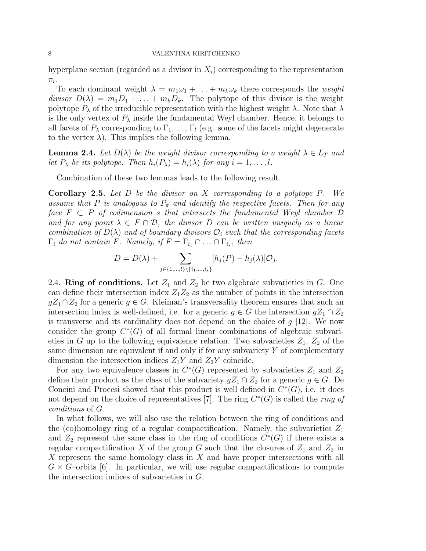#### 8 VALENTINA KIRITCHENKO

hyperplane section (regarded as a divisor in  $X_i$ ) corresponding to the representation  $\pi_i$ .

To each dominant weight  $\lambda = m_1\omega_1 + \ldots + m_k\omega_k$  there corresponds the weight divisor  $D(\lambda) = m_1 D_1 + \ldots + m_k D_k$ . The polytope of this divisor is the weight polytope  $P_{\lambda}$  of the irreducible representation with the highest weight  $\lambda$ . Note that  $\lambda$ is the only vertex of  $P_{\lambda}$  inside the fundamental Weyl chamber. Hence, it belongs to all facets of  $P_\lambda$  corresponding to  $\Gamma_1,\ldots,\Gamma_l$  (e.g. some of the facets might degenerate to the vertex  $\lambda$ ). This implies the following lemma.

**Lemma 2.4.** Let  $D(\lambda)$  be the weight divisor corresponding to a weight  $\lambda \in L_T$  and let  $P_{\lambda}$  be its polytope. Then  $h_i(P_{\lambda}) = h_i(\lambda)$  for any  $i = 1, \ldots, l$ .

Combination of these two lemmas leads to the following result.

**Corollary 2.5.** Let D be the divisor on X corresponding to a polytope P. We assume that P is analogous to  $P_{\pi}$  and identify the respective facets. Then for any face  $F \subset P$  of codimension s that intersects the fundamental Weyl chamber  $D$ and for any point  $\lambda \in F \cap \mathcal{D}$ , the divisor D can be written uniquely as a linear combination of  $D(\lambda)$  and of boundary divisors  $\mathcal{O}_i$  such that the corresponding facets  $\Gamma_i$  do not contain F. Namely, if  $F = \Gamma_{i_1} \cap \ldots \cap \Gamma_{i_s}$ , then

$$
D = D(\lambda) + \sum_{j \in \{1, \ldots, l\} \setminus \{i_1, \ldots, i_s\}} [h_j(P) - h_j(\lambda)] \overline{O}_j.
$$

2.4. Ring of conditions. Let  $Z_1$  and  $Z_2$  be two algebraic subvarieties in G. One can define their intersection index  $Z_1Z_2$  as the number of points in the intersection  $gZ_1 \cap Z_2$  for a generic  $g \in G$ . Kleiman's transversality theorem ensures that such an intersection index is well-defined, i.e. for a generic  $g \in G$  the intersection  $gZ_1 \cap Z_2$ is transverse and its cardinality does not depend on the choice of  $q$  [12]. We now consider the group  $C^*(G)$  of all formal linear combinations of algebraic subvarieties in G up to the following equivalence relation. Two subvarieties  $Z_1$ ,  $Z_2$  of the same dimension are equivalent if and only if for any subvariety  $Y$  of complementary dimension the intersection indices  $Z_1Y$  and  $Z_2Y$  coincide.

For any two equivalence classes in  $C^*(G)$  represented by subvarieties  $Z_1$  and  $Z_2$ define their product as the class of the subvariety  $gZ_1 \cap Z_2$  for a generic  $g \in G$ . De Concini and Procesi showed that this product is well defined in  $C^*(G)$ , i.e. it does not depend on the choice of representatives [7]. The ring  $C^*(G)$  is called the *ring of* conditions of G.

In what follows, we will also use the relation between the ring of conditions and the (co)homology ring of a regular compactification. Namely, the subvarieties  $Z_1$ and  $Z_2$  represent the same class in the ring of conditions  $C^*(G)$  if there exists a regular compactification X of the group G such that the closures of  $Z_1$  and  $Z_2$  in X represent the same homology class in X and have proper intersections with all  $G \times G$ -orbits [6]. In particular, we will use regular compactifications to compute the intersection indices of subvarieties in G.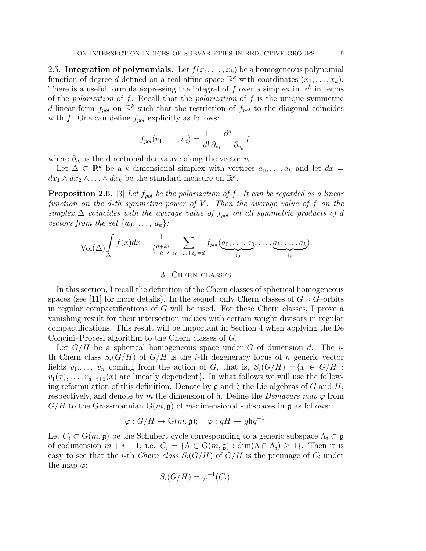2.5. Integration of polynomials. Let  $f(x_1, \ldots, x_k)$  be a homogeneous polynomial function of degree d defined on a real affine space  $\mathbb{R}^k$  with coordinates  $(x_1, \ldots, x_k)$ . There is a useful formula expressing the integral of f over a simplex in  $\mathbb{R}^k$  in terms of the *polarization* of  $f$ . Recall that the *polarization* of  $f$  is the unique symmetric d-linear form  $f_{pol}$  on  $\mathbb{R}^k$  such that the restriction of  $f_{pol}$  to the diagonal coincides with f. One can define  $f_{pol}$  explicitly as follows:

$$
f_{pol}(v_1,\ldots,v_d)=\frac{1}{d!}\frac{\partial^d}{\partial_{v_1}\ldots\partial_{v_d}}f,
$$

where  $\partial_{v_i}$  is the directional derivative along the vector  $v_i$ .

Let  $\Delta \subset \mathbb{R}^k$  be a k-dimensional simplex with vertices  $a_0, \ldots, a_k$  and let  $dx =$  $dx_1 \wedge dx_2 \wedge \ldots \wedge dx_k$  be the standard measure on  $\mathbb{R}^k$ .

**Proposition 2.6.** [3] Let  $f_{pol}$  be the polarization of f. It can be regarded as a linear function on the d-th symmetric power of  $V$ . Then the average value of  $f$  on the simplex  $\Delta$  coincides with the average value of  $f_{pol}$  on all symmetric products of d vectors from the set  $\{a_0, \ldots, a_k\}$ :

$$
\frac{1}{\text{Vol}(\Delta)} \int\limits_{\Delta} f(x) dx = \frac{1}{\binom{d+k}{k}} \sum_{i_0 + \ldots + i_k = d} f_{pol}(\underbrace{a_0, \ldots, a_0}_{i_0}, \ldots, \underbrace{a_k, \ldots, a_k}_{i_k}).
$$

### 3. Chern classes

In this section, I recall the definition of the Chern classes of spherical homogeneous spaces (see [11] for more details). In the sequel, only Chern classes of  $G \times G$ –orbits in regular compactifications of  $G$  will be used. For these Chern classes, I prove a vanishing result for their intersection indices with certain weight divisors in regular compactifications. This result will be important in Section 4 when applying the De Concini–Procesi algorithm to the Chern classes of G.

Let  $G/H$  be a spherical homogeneous space under G of dimension d. The ith Chern class  $S_i(G/H)$  of  $G/H$  is the *i*-th degeneracy locus of *n* generic vector fields  $v_1, \ldots, v_n$  coming from the action of G, that is,  $S_i(G/H) = \{x \in G/H :$  $v_1(x), \ldots, v_{d-i+1}(x)$  are linearly dependent}. In what follows we will use the following reformulation of this definition. Denote by  $\mathfrak g$  and  $\mathfrak h$  the Lie algebras of G and H, respectively, and denote by m the dimension of h. Define the *Demazure map*  $\varphi$  from  $G/H$  to the Grassmannian  $G(m, \mathfrak{g})$  of m-dimensional subspaces in  $\mathfrak{g}$  as follows:

$$
\varphi: G/H \to \mathcal{G}(m, \mathfrak{g}); \quad \varphi: gH \to g\mathfrak{h}g^{-1}.
$$

Let  $C_i \subset G(m, \mathfrak{g})$  be the Schubert cycle corresponding to a generic subspace  $\Lambda_i \subset \mathfrak{g}$ of codimension  $m + i - 1$ , i.e.  $C_i = \{ \Lambda \in G(m, \mathfrak{g}) : dim(\Lambda \cap \Lambda_i) \geq 1 \}$ . Then it is easy to see that the *i*-th *Chern class*  $S_i(G/H)$  of  $G/H$  is the preimage of  $C_i$  under the map  $\varphi$ :

$$
S_i(G/H) = \varphi^{-1}(C_i).
$$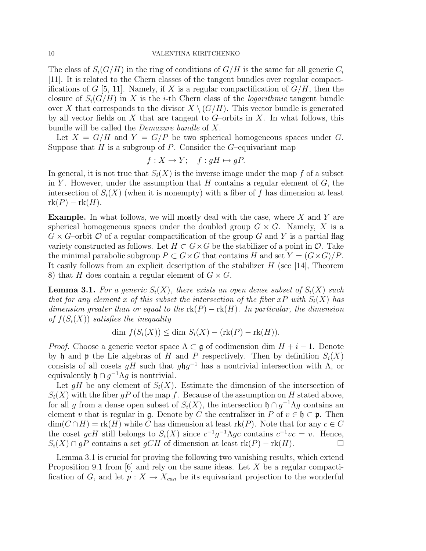The class of  $S_i(G/H)$  in the ring of conditions of  $G/H$  is the same for all generic  $C_i$ [11]. It is related to the Chern classes of the tangent bundles over regular compactifications of G [5, 11]. Namely, if X is a regular compactification of  $G/H$ , then the closure of  $S_i(G/H)$  in X is the *i*-th Chern class of the *logarithmic* tangent bundle over X that corresponds to the divisor  $X \setminus (G/H)$ . This vector bundle is generated by all vector fields on  $X$  that are tangent to  $G$ -orbits in  $X$ . In what follows, this bundle will be called the Demazure bundle of X.

Let  $X = G/H$  and  $Y = G/P$  be two spherical homogeneous spaces under G. Suppose that H is a subgroup of P. Consider the  $G$ -equivariant map

$$
f: X \to Y;
$$
  $f: gH \mapsto gP.$ 

In general, it is not true that  $S_i(X)$  is the inverse image under the map f of a subset in Y. However, under the assumption that  $H$  contains a regular element of  $G$ , the intersection of  $S_i(X)$  (when it is nonempty) with a fiber of f has dimension at least  $rk(P) - rk(H).$ 

**Example.** In what follows, we will mostly deal with the case, where  $X$  and  $Y$  are spherical homogeneous spaces under the doubled group  $G \times G$ . Namely, X is a  $G \times G$ -orbit  $\mathcal O$  of a regular compactification of the group G and Y is a partial flag variety constructed as follows. Let  $H \subset G \times G$  be the stabilizer of a point in  $\mathcal{O}$ . Take the minimal parabolic subgroup  $P \subset G \times G$  that contains H and set  $Y = (G \times G)/P$ . It easily follows from an explicit description of the stabilizer H (see [14], Theorem 8) that H does contain a regular element of  $G \times G$ .

**Lemma 3.1.** For a generic  $S_i(X)$ , there exists an open dense subset of  $S_i(X)$  such that for any element x of this subset the intersection of the fiber xP with  $S_i(X)$  has dimension greater than or equal to the  $\text{rk}(P) - \text{rk}(H)$ . In particular, the dimension of  $f(S_i(X))$  satisfies the inequality

$$
\dim f(S_i(X)) \le \dim S_i(X) - (\text{rk}(P) - \text{rk}(H)).
$$

*Proof.* Choose a generic vector space  $\Lambda \subset \mathfrak{g}$  of codimension dim  $H + i - 1$ . Denote by h and p the Lie algebras of H and P respectively. Then by definition  $S_i(X)$ consists of all cosets  $gH$  such that  $g\mathfrak{h}g^{-1}$  has a nontrivial intersection with  $\Lambda$ , or equivalently  $\mathfrak{h} \cap g^{-1} \Lambda g$  is nontrivial.

Let gH be any element of  $S_i(X)$ . Estimate the dimension of the intersection of  $S_i(X)$  with the fiber gP of the map f. Because of the assumption on H stated above, for all g from a dense open subset of  $S_i(X)$ , the intersection  $\mathfrak{h} \cap g^{-1} \Lambda g$  contains an element v that is regular in g. Denote by C the centralizer in P of  $v \in \mathfrak{h} \subset \mathfrak{p}$ . Then  $\dim(C \cap H) = \text{rk}(H)$  while C has dimension at least  $\text{rk}(P)$ . Note that for any  $c \in C$ the coset gcH still belongs to  $S_i(X)$  since  $c^{-1}g^{-1}\Lambda gc$  contains  $c^{-1}vc = v$ . Hence,  $S_i(X) \cap gP$  contains a set  $gCH$  of dimension at least  $rk(P) - rk(H)$ .  $\Box$ 

Lemma 3.1 is crucial for proving the following two vanishing results, which extend Proposition 9.1 from [6] and rely on the same ideas. Let X be a regular compactification of G, and let  $p: X \to X_{can}$  be its equivariant projection to the wonderful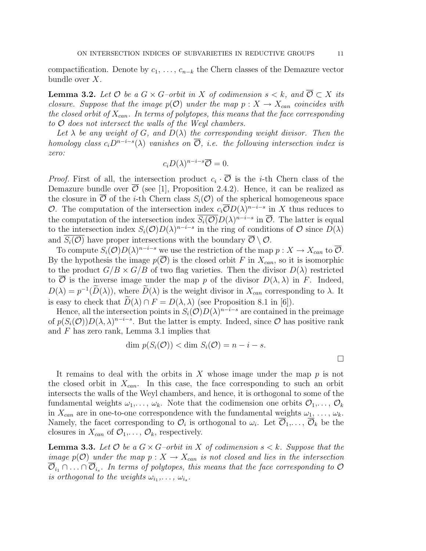compactification. Denote by  $c_1, \ldots, c_{n-k}$  the Chern classes of the Demazure vector bundle over X.

**Lemma 3.2.** Let  $\mathcal{O}$  be a  $G \times G$ –orbit in X of codimension  $s \lt k$ , and  $\overline{\mathcal{O}} \subset X$  its closure. Suppose that the image  $p(\mathcal{O})$  under the map  $p : X \to X_{can}$  coincides with the closed orbit of  $X_{can}$ . In terms of polytopes, this means that the face corresponding to  $O$  does not intersect the walls of the Weyl chambers.

Let  $\lambda$  be any weight of G, and  $D(\lambda)$  the corresponding weight divisor. Then the homology class  $c_iD^{n-i-s}(\lambda)$  vanishes on  $\overline{\mathcal{O}}$ , i.e. the following intersection index is zero:

$$
c_i D(\lambda)^{n-i-s}\overline{\mathcal{O}}=0.
$$

*Proof.* First of all, the intersection product  $c_i \cdot \overline{\mathcal{O}}$  is the *i*-th Chern class of the Demazure bundle over  $\overline{\mathcal{O}}$  (see [1], Proposition 2.4.2). Hence, it can be realized as the closure in  $\overline{\mathcal{O}}$  of the *i*-th Chern class  $S_i(\mathcal{O})$  of the spherical homogeneous space O. The computation of the intersection index  $c_i \overline{\mathcal{O}} D(\lambda)^{n-i-s}$  in X thus reduces to the computation of the intersection index  $\overline{S_i(\mathcal{O})}D(\lambda)^{n-i-s}$  in  $\overline{\mathcal{O}}$ . The latter is equal to the intersection index  $S_i(\mathcal{O})D(\lambda)^{n-i-s}$  in the ring of conditions of  $\mathcal O$  since  $D(\lambda)$ and  $S_i(\mathcal{O})$  have proper intersections with the boundary  $\overline{\mathcal{O}} \setminus \mathcal{O}$ .

To compute  $S_i(\mathcal{O})D(\lambda)^{n-i-s}$  we use the restriction of the map  $p: X \to X_{can}$  to  $\overline{\mathcal{O}}$ . By the hypothesis the image  $p(\overline{O})$  is the closed orbit F in  $X_{can}$ , so it is isomorphic to the product  $G/B \times G/B$  of two flag varieties. Then the divisor  $D(\lambda)$  restricted to  $\overline{O}$  is the inverse image under the map p of the divisor  $D(\lambda, \lambda)$  in F. Indeed,  $D(\lambda) = p^{-1}(\widetilde{D}(\lambda))$ , where  $\widetilde{D}(\lambda)$  is the weight divisor in  $X_{can}$  corresponding to  $\lambda$ . It is easy to check that  $\widetilde{D}(\lambda) \cap F = D(\lambda, \lambda)$  (see Proposition 8.1 in [6]).

Hence, all the intersection points in  $S_i(\mathcal{O})D(\lambda)^{n-i-s}$  are contained in the preimage of  $p(S_i(\mathcal{O}))D(\lambda, \lambda)^{n-i-s}$ . But the latter is empty. Indeed, since  $\mathcal O$  has positive rank and  $F$  has zero rank, Lemma 3.1 implies that

$$
\dim p(S_i(\mathcal{O})) < \dim S_i(\mathcal{O}) = n - i - s.
$$

¤

It remains to deal with the orbits in X whose image under the map  $p$  is not the closed orbit in  $X_{can}$ . In this case, the face corresponding to such an orbit intersects the walls of the Weyl chambers, and hence, it is orthogonal to some of the fundamental weights  $\omega_1,\ldots,\omega_k$ . Note that the codimension one orbits  $\mathcal{O}_1,\ldots,\mathcal{O}_k$ in  $X_{can}$  are in one-to-one correspondence with the fundamental weights  $\omega_1, \ldots, \omega_k$ . Namely, the facet corresponding to  $\mathcal{O}_i$  is orthogonal to  $\omega_i$ . Let  $\overline{\mathcal{O}}_1,\ldots,\overline{\mathcal{O}}_k$  be the closures in  $X_{can}$  of  $\mathcal{O}_1,\ldots,\mathcal{O}_k$ , respectively.

**Lemma 3.3.** Let  $\mathcal O$  be a  $G \times G$ -orbit in  $X$  of codimension  $s < k$ . Suppose that the image  $p(\mathcal{O})$  under the map  $p: X \to X_{can}$  is not closed and lies in the intersection  $\overline{\mathcal{O}}_{i_1}\cap\ldots\cap\overline{\mathcal{O}}_{i_s}.$  In terms of polytopes, this means that the face corresponding to  $\mathcal O$ is orthogonal to the weights  $\omega_{i_1}, \ldots, \omega_{i_s}$ .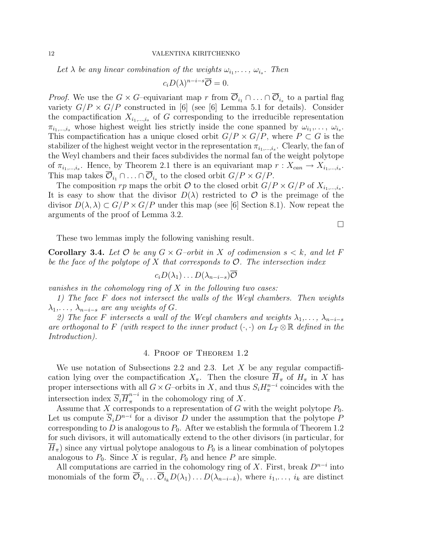Let  $\lambda$  be any linear combination of the weights  $\omega_{i_1}, \ldots, \omega_{i_s}$ . Then

$$
c_i D(\lambda)^{n-i-s} \overline{\mathcal{O}} = 0.
$$

*Proof.* We use the  $G \times G$ -equivariant map r from  $\overline{\mathcal{O}}_{i_1} \cap \ldots \cap \overline{\mathcal{O}}_{i_s}$  to a partial flag variety  $G/P \times G/P$  constructed in [6] (see [6] Lemma 5.1 for details). Consider the compactification  $X_{i_1,\dots,i_s}$  of G corresponding to the irreducible representation  $\pi_{i_1,\dots,i_s}$  whose highest weight lies strictly inside the cone spanned by  $\omega_{i_1},\dots,\omega_{i_s}$ . This compactification has a unique closed orbit  $G/P \times G/P$ , where  $P \subset G$  is the stabilizer of the highest weight vector in the representation  $\pi_{i_1,\dots,i_s}$ . Clearly, the fan of the Weyl chambers and their faces subdivides the normal fan of the weight polytope of  $\pi_{i_1,\dots,i_s}$ . Hence, by Theorem 2.1 there is an equivariant map  $r: X_{can} \to X_{i_1,\dots,i_s}$ . This map takes  $\overline{\mathcal{O}}_{i_1} \cap \ldots \cap \overline{\mathcal{O}}_{i_s}$  to the closed orbit  $G/P \times G/P$ .

The composition  $rp$  maps the orbit  $\mathcal O$  to the closed orbit  $G/P \times G/P$  of  $X_{i_1,\ldots,i_s}$ . It is easy to show that the divisor  $D(\lambda)$  restricted to  $\mathcal O$  is the preimage of the divisor  $D(\lambda, \lambda) \subset G/P \times G/P$  under this map (see [6] Section 8.1). Now repeat the arguments of the proof of Lemma 3.2.

 $\Box$ 

These two lemmas imply the following vanishing result.

**Corollary 3.4.** Let  $\mathcal O$  be any  $G \times G$ -orbit in X of codimension  $s < k$ , and let F be the face of the polytope of X that corresponds to  $\mathcal{O}$ . The intersection index

$$
c_i D(\lambda_1) \ldots D(\lambda_{n-i-s}) \overline{\mathcal{O}}
$$

vanishes in the cohomology ring of  $X$  in the following two cases:

1) The face F does not intersect the walls of the Weyl chambers. Then weights  $\lambda_1, \ldots, \lambda_{n-i-s}$  are any weights of G.

2) The face F intersects a wall of the Weyl chambers and weights  $\lambda_1, \ldots, \lambda_{n-i-s}$ are orthogonal to F (with respect to the inner product  $(\cdot, \cdot)$  on  $L_T \otimes \mathbb{R}$  defined in the Introduction).

### 4. Proof of Theorem 1.2

We use notation of Subsections 2.2 and 2.3. Let  $X$  be any regular compactification lying over the compactification  $X_{\pi}$ . Then the closure  $\overline{H}_{\pi}$  of  $H_{\pi}$  in X has proper intersections with all  $G \times G$ –orbits in X, and thus  $S_i H^{n-i}_{\pi}$  coincides with the intersection index  $\overline{S}_i \overline{H}_{\pi}^{n-i}$  $\int_{\pi}^{n-i}$  in the cohomology ring of X.

Assume that X corresponds to a representation of G with the weight polytope  $P_0$ . Let us compute  $\overline{S}_i D^{n-i}$  for a divisor D under the assumption that the polytope P corresponding to D is analogous to  $P_0$ . After we establish the formula of Theorem 1.2 for such divisors, it will automatically extend to the other divisors (in particular, for  $\overline{H}_{\pi}$ ) since any virtual polytope analogous to  $P_0$  is a linear combination of polytopes analogous to  $P_0$ . Since X is regular,  $P_0$  and hence P are simple.

All computations are carried in the cohomology ring of X. First, break  $D^{n-i}$  into monomials of the form  $\overline{\mathcal{O}}_{i_1} \dots \overline{\mathcal{O}}_{i_k} D(\lambda_1) \dots D(\lambda_{n-i-k}),$  where  $i_1, \dots, i_k$  are distinct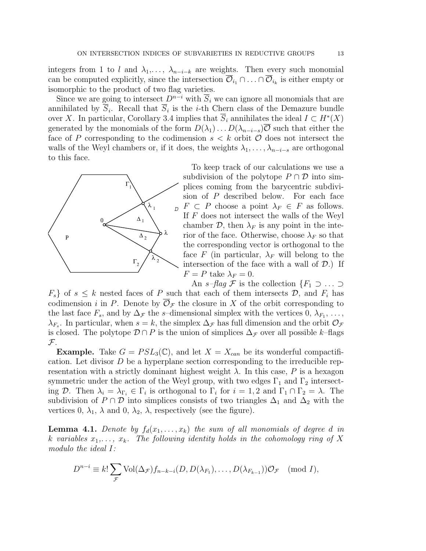integers from 1 to l and  $\lambda_1, \ldots, \lambda_{n-i-k}$  are weights. Then every such monomial can be computed explicitly, since the intersection  $\overline{\mathcal{O}}_{i_1} \cap \ldots \cap \overline{\mathcal{O}}_{i_k}$  is either empty or isomorphic to the product of two flag varieties.

Since we are going to intersect  $D^{n-i}$  with  $\overline{S}_i$  we can ignore all monomials that are annihilated by  $\overline{S}_i$ . Recall that  $\overline{S}_i$  is the *i*-th Chern class of the Demazure bundle over X. In particular, Corollary 3.4 implies that  $\overline{S}_i$  annihilates the ideal  $I \subset H^*(X)$ generated by the monomials of the form  $D(\lambda_1) \dots D(\lambda_{n-i-s})\overline{\mathcal{O}}$  such that either the face of P corresponding to the codimension  $s < k$  orbit  $\mathcal O$  does not intersect the walls of the Weyl chambers or, if it does, the weights  $\lambda_1, \ldots, \lambda_{n-i-s}$  are orthogonal to this face.



 $\Box$   $F \subset P$  choose a point  $\lambda_F \in F$  as follows. To keep track of our calculations we use a subdivision of the polytope  $P \cap \mathcal{D}$  into simplices coming from the barycentric subdivision of P described below. For each face If  $F$  does not intersect the walls of the Weyl chamber  $\mathcal{D}$ , then  $\lambda_F$  is any point in the interior of the face. Otherwise, choose  $\lambda_F$  so that the corresponding vector is orthogonal to the face F (in particular,  $\lambda_F$  will belong to the intersection of the face with a wall of  $D$ .) If  $F = P$  take  $\lambda_F = 0$ .

An  $s$ –flag F is the collection  $\{F_1 \supset \ldots \supset$  $F_s$  of  $s \leq k$  nested faces of P such that each of them intersects  $\mathcal{D}$ , and  $F_i$  has codimension i in P. Denote by  $\mathcal{O}_{\mathcal{F}}$  the closure in X of the orbit corresponding to the last face  $F_s$ , and by  $\Delta_{\mathcal{F}}$  the s–dimensional simplex with the vertices 0,  $\lambda_{F_1}, \ldots$ ,  $\lambda_{F_s}$ . In particular, when  $s = k$ , the simplex  $\Delta_{\mathcal{F}}$  has full dimension and the orbit  $\mathcal{O}_{\mathcal{F}}$ is closed. The polytope  $\mathcal{D} \cap P$  is the union of simplices  $\Delta_{\mathcal{F}}$  over all possible k–flags  ${\mathcal F}$ .

**Example.** Take  $G = PSL_3(\mathbb{C})$ , and let  $X = X_{can}$  be its wonderful compactification. Let divisor  $D$  be a hyperplane section corresponding to the irreducible representation with a strictly dominant highest weight  $\lambda$ . In this case, P is a hexagon symmetric under the action of the Weyl group, with two edges  $\Gamma_1$  and  $\Gamma_2$  intersecting D. Then  $\lambda_i = \lambda_{\Gamma_i} \in \Gamma_i$  is orthogonal to  $\Gamma_i$  for  $i = 1, 2$  and  $\Gamma_1 \cap \Gamma_2 = \lambda$ . The subdivision of  $P \cap \mathcal{D}$  into simplices consists of two triangles  $\Delta_1$  and  $\Delta_2$  with the vertices 0,  $\lambda_1$ ,  $\lambda$  and 0,  $\lambda_2$ ,  $\lambda$ , respectively (see the figure).

**Lemma 4.1.** Denote by  $f_d(x_1, \ldots, x_k)$  the sum of all monomials of degree d in k variables  $x_1, \ldots, x_k$ . The following identity holds in the cohomology ring of X modulo the ideal I:

$$
D^{n-i} \equiv k! \sum_{\mathcal{F}} \text{Vol}(\Delta_{\mathcal{F}}) f_{n-k-i}(D, D(\lambda_{F_1}), \dots, D(\lambda_{F_{k-1}})) \mathcal{O}_{\mathcal{F}} \pmod{I},
$$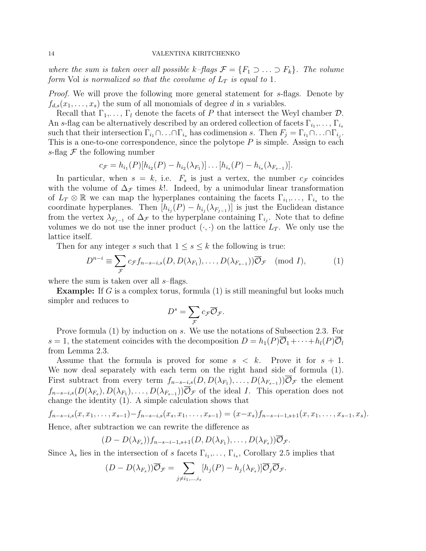#### 14 VALENTINA KIRITCHENKO

where the sum is taken over all possible k–flags  $\mathcal{F} = \{F_1 \supset \ldots \supset F_k\}$ . The volume form Vol is normalized so that the covolume of  $L_T$  is equal to 1.

Proof. We will prove the following more general statement for s-flags. Denote by  $f_{d,s}(x_1,\ldots,x_s)$  the sum of all monomials of degree d in s variables.

Recall that  $\Gamma_1, \ldots, \Gamma_l$  denote the facets of P that intersect the Weyl chamber  $\mathcal{D}$ . An s-flag can be alternatively described by an ordered collection of facets  $\Gamma_{i_1}, \ldots, \Gamma_{i_s}$ such that their intersection  $\Gamma_{i_1} \cap \ldots \cap \Gamma_{i_s}$  has codimension s. Then  $F_j = \Gamma_{i_1} \cap \ldots \cap \Gamma_{i_j}$ . This is a one-to-one correspondence, since the polytope  $P$  is simple. Assign to each s-flag  $\mathcal F$  the following number

$$
c_{\mathcal{F}} = h_{i_1}(P)[h_{i_2}(P) - h_{i_2}(\lambda_{F_1})] \dots [h_{i_s}(P) - h_{i_s}(\lambda_{F_{s-1}})].
$$

In particular, when  $s = k$ , i.e.  $F_s$  is just a vertex, the number  $c_{\mathcal{F}}$  coincides with the volume of  $\Delta_{\mathcal{F}}$  times k!. Indeed, by a unimodular linear transformation of  $L_T \otimes \mathbb{R}$  we can map the hyperplanes containing the facets  $\Gamma_{i_1}, \ldots, \Gamma_{i_s}$  to the coordinate hyperplanes. Then  $[h_{i_j}(P) - h_{i_j}(\lambda_{F_{j-1}})]$  is just the Euclidean distance from the vertex  $\lambda_{F_{j-1}}$  of  $\Delta_{\mathcal{F}}$  to the hyperplane containing  $\Gamma_{i_j}$ . Note that to define volumes we do not use the inner product  $(\cdot, \cdot)$  on the lattice  $L_T$ . We only use the lattice itself.

Then for any integer s such that  $1 \leq s \leq k$  the following is true:

$$
D^{n-i} \equiv \sum_{\mathcal{F}} c_{\mathcal{F}} f_{n-s-i,s}(D, D(\lambda_{F_1}), \dots, D(\lambda_{F_{s-1}})) \overline{\mathcal{O}}_{\mathcal{F}} \pmod{I},\tag{1}
$$

where the sum is taken over all  $s$ -flags.

**Example:** If G is a complex torus, formula (1) is still meaningful but looks much simpler and reduces to  $\overline{\phantom{a}}$ 

$$
D^s = \sum_{\mathcal{F}} c_{\mathcal{F}} \overline{\mathcal{O}}_{\mathcal{F}}.
$$

Prove formula (1) by induction on s. We use the notations of Subsection 2.3. For  $s = 1$ , the statement coincides with the decomposition  $D = h_1(P)\overline{O}_1 + \cdots + h_l(P)\overline{O}_l$ from Lemma 2.3.

Assume that the formula is proved for some  $s < k$ . Prove it for  $s + 1$ . We now deal separately with each term on the right hand side of formula (1). First subtract from every term  $f_{n-s-i,s}(D, D(\lambda_{F_1}), \ldots, D(\lambda_{F_{s-1}}))\overline{\mathcal{O}}_{\mathcal{F}}$  the element  $f_{n-s-i,s}(D(\lambda_{F_s}), D(\lambda_{F_1}), \ldots, D(\lambda_{F_{s-1}}))\overline{\mathcal{O}}_{\mathcal{F}}$  of the ideal *I*. This operation does not change the identity (1). A simple calculation shows that

 $f_{n-s-i,s}(x, x_1, \ldots, x_{s-1}) - f_{n-s-i,s}(x_s, x_1, \ldots, x_{s-1}) = (x-x_s)f_{n-s-i-1,s+1}(x, x_1, \ldots, x_{s-1}, x_s).$ Hence, after subtraction we can rewrite the difference as

$$
(D-D(\lambda_{F_s}))f_{n-s-i-1,s+1}(D,D(\lambda_{F_1}),\ldots,D(\lambda_{F_s}))\overline{\mathcal{O}}_{\mathcal{F}}.
$$

Since  $\lambda_s$  lies in the intersection of s facets  $\Gamma_{i_1}, \ldots, \Gamma_{i_s}$ , Corollary 2.5 implies that

$$
(D - D(\lambda_{F_s}))\overline{\mathcal{O}}_{\mathcal{F}} = \sum_{j \neq i_1, \dots, i_s} [h_j(P) - h_j(\lambda_{F_s})] \overline{\mathcal{O}}_j \overline{\mathcal{O}}_{\mathcal{F}}.
$$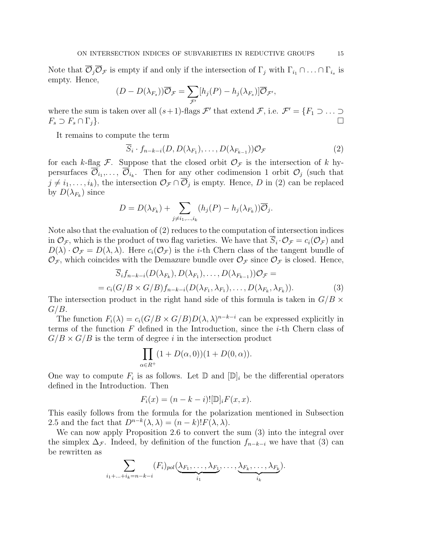Note that  $\overline{\mathcal{O}}_j\overline{\mathcal{O}}_{\mathcal{F}}$  is empty if and only if the intersection of  $\Gamma_j$  with  $\Gamma_{i_1}\cap\ldots\cap\Gamma_{i_s}$  is empty. Hence,  $\overline{\phantom{a}}$ 

$$
(D - D(\lambda_{F_s}))\overline{\mathcal{O}}_{\mathcal{F}} = \sum_{\mathcal{F}'}[h_j(P) - h_j(\lambda_{F_s})]\overline{\mathcal{O}}_{\mathcal{F}'},
$$

where the sum is taken over all  $(s+1)$ -flags  $\mathcal{F}'$  that extend  $\mathcal{F}$ , i.e.  $\mathcal{F}' = \{F_1 \supset \dots \supset$  $F_s \supset F_s \cap \Gamma_j$ .

It remains to compute the term

$$
\overline{S}_i \cdot f_{n-k-i}(D, D(\lambda_{F_1}), \dots, D(\lambda_{F_{k-1}})) \mathcal{O}_{\mathcal{F}}
$$
\n
$$
(2)
$$

for each k-flag F. Suppose that the closed orbit  $\mathcal{O}_{\mathcal{F}}$  is the intersection of k hypersurfaces  $\overline{\mathcal{O}}_{i_1},\ldots,\overline{\mathcal{O}}_{i_k}$ . Then for any other codimension 1 orbit  $\mathcal{O}_j$  (such that  $j \neq i_1, \ldots, i_k$ , the intersection  $\mathcal{O}_{\mathcal{F}} \cap \overline{\mathcal{O}}_j$  is empty. Hence, D in (2) can be replaced by  $D(\lambda_{F_k})$  since

$$
D = D(\lambda_{F_k}) + \sum_{j \neq i_1, \dots, i_k} (h_j(P) - h_j(\lambda_{F_k})) \overline{O}_j.
$$

Note also that the evaluation of (2) reduces to the computation of intersection indices in  $\mathcal{O}_\mathcal{F}$ , which is the product of two flag varieties. We have that  $\overline{S}_i \cdot \mathcal{O}_\mathcal{F} = c_i(\mathcal{O}_\mathcal{F})$  and  $D(\lambda) \cdot \mathcal{O}_{\mathcal{F}} = D(\lambda, \lambda)$ . Here  $c_i(\mathcal{O}_{\mathcal{F}})$  is the *i*-th Chern class of the tangent bundle of  $\mathcal{O}_{\mathcal{F}}$ , which coincides with the Demazure bundle over  $\mathcal{O}_{\mathcal{F}}$  since  $\mathcal{O}_{\mathcal{F}}$  is closed. Hence,

$$
\overline{S}_{i}f_{n-k-i}(D(\lambda_{F_k}), D(\lambda_{F_1}), \dots, D(\lambda_{F_{k-1}}))\mathcal{O}_{\mathcal{F}} =
$$
  
=  $c_i(G/B \times G/B)f_{n-k-i}(D(\lambda_{F_1}, \lambda_{F_1}), \dots, D(\lambda_{F_k}, \lambda_{F_k})).$  (3)

The intersection product in the right hand side of this formula is taken in  $G/B \times$  $G/B$ .

The function  $F_i(\lambda) = c_i(G/B \times G/B)D(\lambda, \lambda)^{n-k-i}$  can be expressed explicitly in terms of the function  $F$  defined in the Introduction, since the  $i$ -th Chern class of  $G/B \times G/B$  is the term of degree i in the intersection product

$$
\prod_{\alpha \in R^+} (1 + D(\alpha, 0))(1 + D(0, \alpha)).
$$

One way to compute  $F_i$  is as follows. Let  $\mathbb{D}$  and  $[\mathbb{D}]_i$  be the differential operators defined in the Introduction. Then

$$
F_i(x) = (n - k - i)! [\mathbb{D}]_i F(x, x).
$$

This easily follows from the formula for the polarization mentioned in Subsection 2.5 and the fact that  $D^{n-k}(\lambda, \lambda) = (n-k)! F(\lambda, \lambda)$ .

We can now apply Proposition 2.6 to convert the sum (3) into the integral over the simplex  $\Delta_{\mathcal{F}}$ . Indeed, by definition of the function  $f_{n-k-i}$  we have that (3) can be rewritten as  $\overline{\phantom{a}}$ 

$$
\sum_{i_1+\ldots+i_k=n-k-i} (F_i)_{pol}(\underbrace{\lambda_{F_1},\ldots,\lambda_{F_1}}_{i_1},\ldots,\underbrace{\lambda_{F_k},\ldots,\lambda_{F_k}}_{i_k}).
$$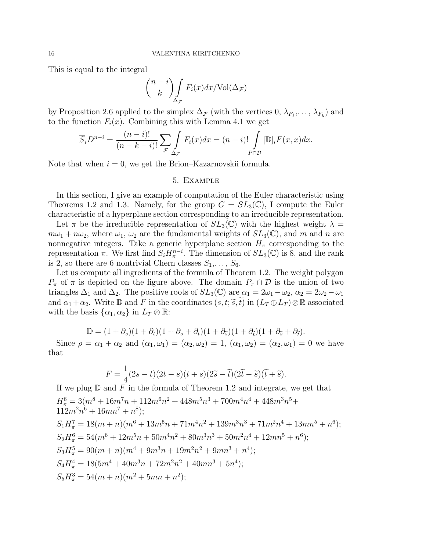This is equal to the integral

$$
\binom{n-i}{k} \int\limits_{\Delta_{\mathcal{F}}} F_i(x) dx / \text{Vol}(\Delta_{\mathcal{F}})
$$

by Proposition 2.6 applied to the simplex  $\Delta_{\mathcal{F}}$  (with the vertices 0,  $\lambda_{F_1}, \ldots, \lambda_{F_k}$ ) and to the function  $F_i(x)$ . Combining this with Lemma 4.1 we get

$$
\overline{S}_i D^{n-i} = \frac{(n-i)!}{(n-k-i)!} \sum_{\mathcal{F}} \int_{\Delta_{\mathcal{F}}} F_i(x) dx = (n-i)! \int_{P \cap \mathcal{D}} [\mathbb{D}]_i F(x, x) dx.
$$

Note that when  $i = 0$ , we get the Brion–Kazarnovskii formula.

# 5. Example

In this section, I give an example of computation of the Euler characteristic using Theorems 1.2 and 1.3. Namely, for the group  $G = SL_3(\mathbb{C})$ , I compute the Euler characteristic of a hyperplane section corresponding to an irreducible representation.

Let  $\pi$  be the irreducible representation of  $SL_3(\mathbb{C})$  with the highest weight  $\lambda =$  $m\omega_1 + n\omega_2$ , where  $\omega_1$ ,  $\omega_2$  are the fundamental weights of  $SL_3(\mathbb{C})$ , and m and n are nonnegative integers. Take a generic hyperplane section  $H_{\pi}$  corresponding to the representation  $\pi$ . We first find  $S_i H^{n-i}_{\pi}$ . The dimension of  $SL_3(\mathbb{C})$  is 8, and the rank is 2, so there are 6 nontrivial Chern classes  $S_1, \ldots, S_6$ .

Let us compute all ingredients of the formula of Theorem 1.2. The weight polygon  $P_{\pi}$  of  $\pi$  is depicted on the figure above. The domain  $P_{\pi} \cap \mathcal{D}$  is the union of two triangles  $\Delta_1$  and  $\Delta_2$ . The positive roots of  $SL_3(\mathbb{C})$  are  $\alpha_1 = 2\omega_1 - \omega_2$ ,  $\alpha_2 = 2\omega_2 - \omega_1$ and  $\alpha_1+\alpha_2$ . Write D and F in the coordinates  $(s, t; \tilde{s}, t)$  in  $(L_T \oplus L_T) \otimes \mathbb{R}$  associated with the basis  $\{\alpha_1, \alpha_2\}$  in  $L_T \otimes \mathbb{R}$ :

$$
\mathbb{D} = (1+\partial_s)(1+\partial_t)(1+\partial_s+\partial_t)(1+\partial_{\tilde{s}})(1+\partial_{\tilde{t}})(1+\partial_{\tilde{s}}+\partial_{\tilde{t}}).
$$

Since  $\rho = \alpha_1 + \alpha_2$  and  $(\alpha_1, \omega_1) = (\alpha_2, \omega_2) = 1$ ,  $(\alpha_1, \omega_2) = (\alpha_2, \omega_1) = 0$  we have that

$$
F = \frac{1}{4}(2s - t)(2t - s)(t + s)(2\tilde{s} - \tilde{t})(2\tilde{t} - \tilde{s})(\tilde{t} + \tilde{s}).
$$

If we plug  $\mathbb D$  and F in the formula of Theorem 1.2 and integrate, we get that  $H_{\pi}^8 = 3(m^8 + 16m^7n + 112m^6n^2 + 448m^5n^3 + 700m^4n^4 + 448m^3n^5 +$  $112m^2n^6 + 16mn^7 + n^8$ ;  $S_1H_{\pi}^7 = 18(m+n)(m^6 + 13m^5n + 71m^4n^2 + 139m^3n^3 + 71m^2n^4 + 13mn^5 + n^6);$  $S_2H_\pi^6 = 54(m^6 + 12m^5n + 50m^4n^2 + 80m^3n^3 + 50m^2n^4 + 12mn^5 + n^6);$  $S_3H_\pi^5 = 90(m+n)(m^4+9m^3n+19m^2n^2+9mn^3+n^4);$  $S_4H_\pi^4 = 18(5m^4 + 40m^3n + 72m^2n^2 + 40mn^3 + 5n^4);$  $S_5H_\pi^3 = 54(m+n)(m^2+5mn+n^2);$